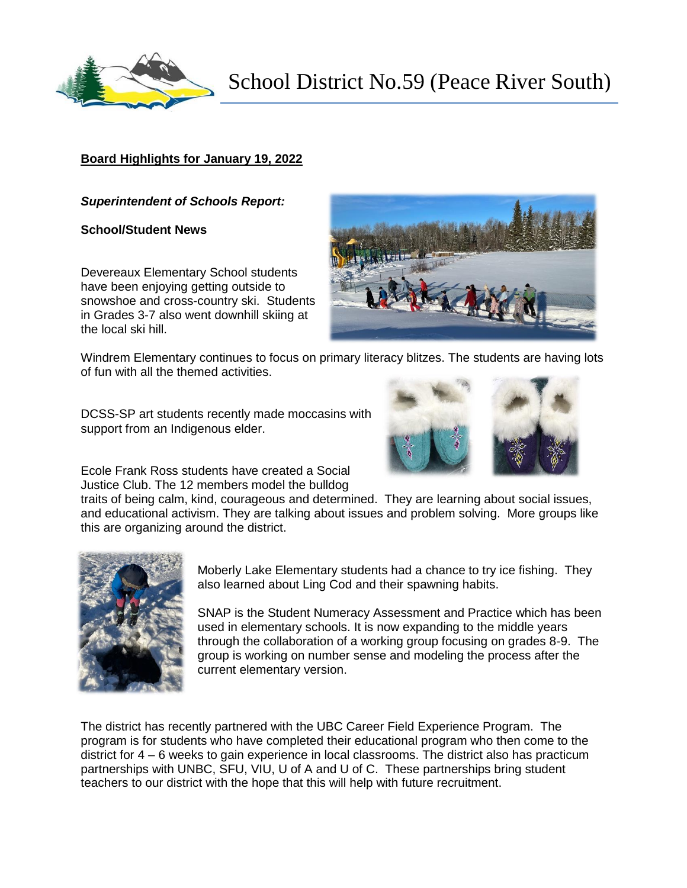

# **Board Highlights for January 19, 2022**

## *Superintendent of Schools Report:*

**School/Student News**

Devereaux Elementary School students have been enjoying getting outside to snowshoe and cross-country ski. Students in Grades 3-7 also went downhill skiing at the local ski hill.



Windrem Elementary continues to focus on primary literacy blitzes. The students are having lots of fun with all the themed activities.

DCSS-SP art students recently made moccasins with support from an Indigenous elder.



Ecole Frank Ross students have created a Social Justice Club. The 12 members model the bulldog

traits of being calm, kind, courageous and determined. They are learning about social issues, and educational activism. They are talking about issues and problem solving. More groups like this are organizing around the district.



Moberly Lake Elementary students had a chance to try ice fishing. They also learned about Ling Cod and their spawning habits.

SNAP is the Student Numeracy Assessment and Practice which has been used in elementary schools. It is now expanding to the middle years through the collaboration of a working group focusing on grades 8-9. The group is working on number sense and modeling the process after the current elementary version.

The district has recently partnered with the UBC Career Field Experience Program. The program is for students who have completed their educational program who then come to the district for 4 – 6 weeks to gain experience in local classrooms. The district also has practicum partnerships with UNBC, SFU, VIU, U of A and U of C. These partnerships bring student teachers to our district with the hope that this will help with future recruitment.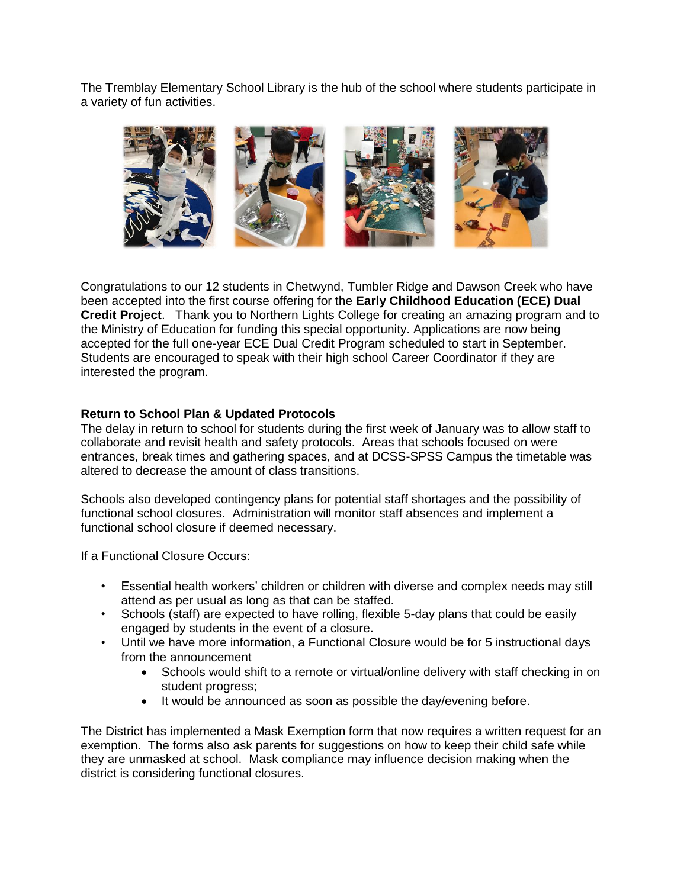The Tremblay Elementary School Library is the hub of the school where students participate in a variety of fun activities.



Congratulations to our 12 students in Chetwynd, Tumbler Ridge and Dawson Creek who have been accepted into the first course offering for the **Early Childhood Education (ECE) Dual Credit Project**. Thank you to Northern Lights College for creating an amazing program and to the Ministry of Education for funding this special opportunity. Applications are now being accepted for the full one-year ECE Dual Credit Program scheduled to start in September. Students are encouraged to speak with their high school Career Coordinator if they are interested the program.

## **Return to School Plan & Updated Protocols**

The delay in return to school for students during the first week of January was to allow staff to collaborate and revisit health and safety protocols. Areas that schools focused on were entrances, break times and gathering spaces, and at DCSS-SPSS Campus the timetable was altered to decrease the amount of class transitions.

Schools also developed contingency plans for potential staff shortages and the possibility of functional school closures. Administration will monitor staff absences and implement a functional school closure if deemed necessary.

If a Functional Closure Occurs:

- Essential health workers' children or children with diverse and complex needs may still attend as per usual as long as that can be staffed.
- Schools (staff) are expected to have rolling, flexible 5-day plans that could be easily engaged by students in the event of a closure.
- Until we have more information, a Functional Closure would be for 5 instructional days from the announcement
	- Schools would shift to a remote or virtual/online delivery with staff checking in on student progress;
	- It would be announced as soon as possible the day/evening before.

The District has implemented a Mask Exemption form that now requires a written request for an exemption. The forms also ask parents for suggestions on how to keep their child safe while they are unmasked at school. Mask compliance may influence decision making when the district is considering functional closures.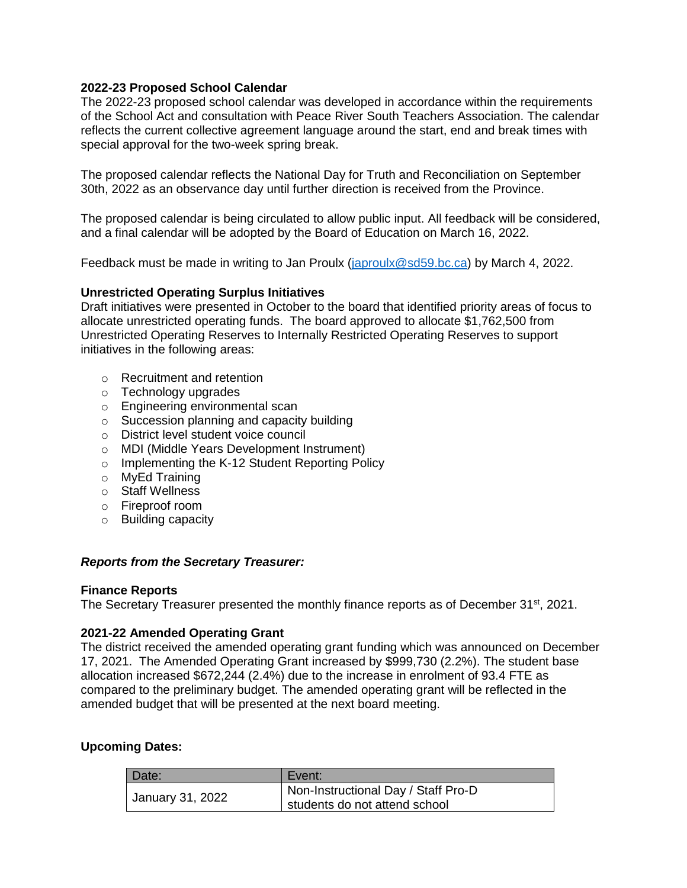### **2022-23 Proposed School Calendar**

The 2022-23 proposed school calendar was developed in accordance within the requirements of the School Act and consultation with Peace River South Teachers Association. The calendar reflects the current collective agreement language around the start, end and break times with special approval for the two-week spring break.

The proposed calendar reflects the National Day for Truth and Reconciliation on September 30th, 2022 as an observance day until further direction is received from the Province.

The proposed calendar is being circulated to allow public input. All feedback will be considered, and a final calendar will be adopted by the Board of Education on March 16, 2022.

Feedback must be made in writing to Jan Proulx [\(japroulx@sd59.bc.ca\)](mailto:%20japroulx@sd59.bc.ca) by March 4, 2022.

#### **Unrestricted Operating Surplus Initiatives**

Draft initiatives were presented in October to the board that identified priority areas of focus to allocate unrestricted operating funds. The board approved to allocate \$1,762,500 from Unrestricted Operating Reserves to Internally Restricted Operating Reserves to support initiatives in the following areas:

- o Recruitment and retention
- o Technology upgrades
- o Engineering environmental scan
- o Succession planning and capacity building
- o District level student voice council
- o MDI (Middle Years Development Instrument)
- o Implementing the K-12 Student Reporting Policy
- o MyEd Training
- o Staff Wellness
- o Fireproof room
- o Building capacity

#### *Reports from the Secretary Treasurer:*

#### **Finance Reports**

The Secretary Treasurer presented the monthly finance reports as of December 31<sup>st</sup>, 2021.

#### **2021-22 Amended Operating Grant**

The district received the amended operating grant funding which was announced on December 17, 2021. The Amended Operating Grant increased by \$999,730 (2.2%). The student base allocation increased \$672,244 (2.4%) due to the increase in enrolment of 93.4 FTE as compared to the preliminary budget. The amended operating grant will be reflected in the amended budget that will be presented at the next board meeting.

### **Upcoming Dates:**

| Date:            | Event:                                                               |
|------------------|----------------------------------------------------------------------|
| January 31, 2022 | Non-Instructional Day / Staff Pro-D<br>students do not attend school |